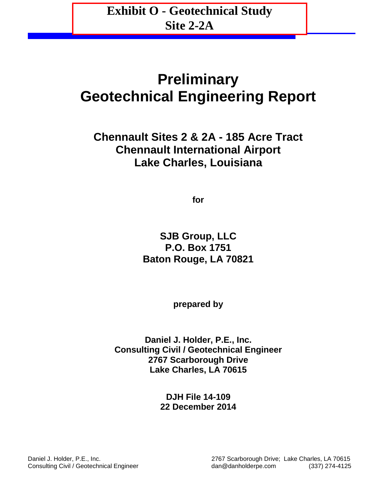**Exhibit O - Geotechnical Study Site 2-2A**

# **Preliminary Geotechnical Engineering Report**

**Chennault Sites 2 & 2A - 185 Acre Tract Chennault International Airport Lake Charles, Louisiana**

**for**

**SJB Group, LLC P.O. Box 1751 Baton Rouge, LA 70821**

**prepared by**

**Daniel J. Holder, P.E., Inc. Consulting Civil / Geotechnical Engineer 2767 Scarborough Drive Lake Charles, LA 70615**

> **DJH File 14-109 22 December 2014**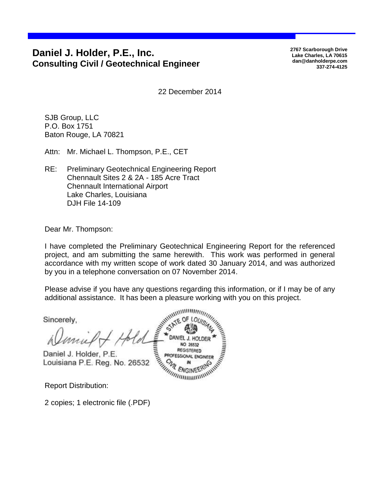## **Daniel J. Holder, P.E., Inc. Consulting Civil / Geotechnical Engineer**

**2767 Scarborough Drive Lake Charles, LA 70615 dan@danholderpe.com 337-274-4125**

22 December 2014

SJB Group, LLC P.O. Box 1751 Baton Rouge, LA 70821

Attn: Mr. Michael L. Thompson, P.E., CET

RE: Preliminary Geotechnical Engineering Report Chennault Sites 2 & 2A - 185 Acre Tract Chennault International Airport Lake Charles, Louisiana DJH File 14-109

Dear Mr. Thompson:

I have completed the Preliminary Geotechnical Engineering Report for the referenced project, and am submitting the same herewith. This work was performed in general accordance with my written scope of work dated 30 January 2014, and was authorized by you in a telephone conversation on 07 November 2014.

Please advise if you have any questions regarding this information, or if I may be of any

additional assistance. It has been a pleasure working with you on this project.<br>Sincerely,<br> $\frac{1}{2}$  in this project. Sincerely, PROFESSIONAL ENGINEER mul Daniel J. Holder, P.E. Louisiana P.E. Reg. No. 26532

Report Distribution:

2 copies; 1 electronic file (.PDF)

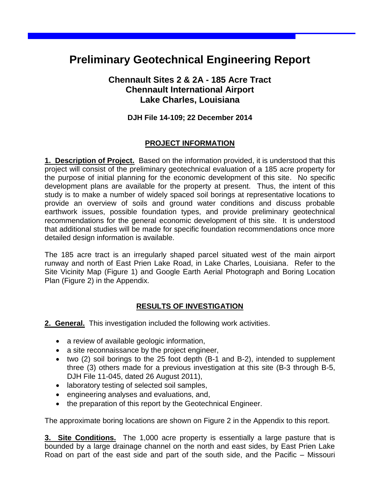## **Preliminary Geotechnical Engineering Report**

## **Chennault Sites 2 & 2A - 185 Acre Tract Chennault International Airport Lake Charles, Louisiana**

### **DJH File 14-109; 22 December 2014**

### **PROJECT INFORMATION**

**1. Description of Project.** Based on the information provided, it is understood that this project will consist of the preliminary geotechnical evaluation of a 185 acre property for the purpose of initial planning for the economic development of this site. No specific development plans are available for the property at present. Thus, the intent of this study is to make a number of widely spaced soil borings at representative locations to provide an overview of soils and ground water conditions and discuss probable earthwork issues, possible foundation types, and provide preliminary geotechnical recommendations for the general economic development of this site. It is understood that additional studies will be made for specific foundation recommendations once more detailed design information is available.

The 185 acre tract is an irregularly shaped parcel situated west of the main airport runway and north of East Prien Lake Road, in Lake Charles, Louisiana. Refer to the Site Vicinity Map (Figure 1) and Google Earth Aerial Photograph and Boring Location Plan (Figure 2) in the Appendix.

### **RESULTS OF INVESTIGATION**

**2. General.** This investigation included the following work activities.

- a review of available geologic information,
- a site reconnaissance by the project engineer,
- two (2) soil borings to the 25 foot depth (B-1 and B-2), intended to supplement three (3) others made for a previous investigation at this site (B-3 through B-5, DJH File 11-045, dated 26 August 2011),
- laboratory testing of selected soil samples,
- engineering analyses and evaluations, and,
- the preparation of this report by the Geotechnical Engineer.

The approximate boring locations are shown on Figure 2 in the Appendix to this report.

**3. Site Conditions.** The 1,000 acre property is essentially a large pasture that is bounded by a large drainage channel on the north and east sides, by East Prien Lake Road on part of the east side and part of the south side, and the Pacific – Missouri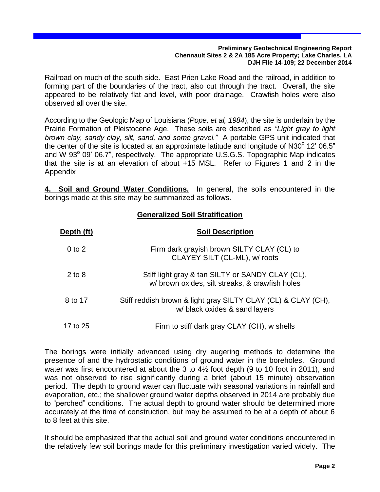Railroad on much of the south side. East Prien Lake Road and the railroad, in addition to forming part of the boundaries of the tract, also cut through the tract. Overall, the site appeared to be relatively flat and level, with poor drainage. Crawfish holes were also observed all over the site.

According to the Geologic Map of Louisiana (*Pope, et al, 1984*), the site is underlain by the Prairie Formation of Pleistocene Age. These soils are described as *"Light gray to light brown clay, sandy clay, silt, sand, and some gravel."* A portable GPS unit indicated that the center of the site is located at an approximate latitude and longitude of N30 $^{\circ}$  12' 06.5" and W 93° 09' 06.7", respectively. The appropriate U.S.G.S. Topographic Map indicates that the site is at an elevation of about +15 MSL. Refer to Figures 1 and 2 in the Appendix

**4. Soil and Ground Water Conditions.** In general, the soils encountered in the borings made at this site may be summarized as follows.

### **Generalized Soil Stratification**

| Depth (ft) | <b>Soil Description</b>                                                                             |
|------------|-----------------------------------------------------------------------------------------------------|
| $0$ to $2$ | Firm dark grayish brown SILTY CLAY (CL) to<br>CLAYEY SILT (CL-ML), w/ roots                         |
| $2$ to 8   | Stiff light gray & tan SILTY or SANDY CLAY (CL),<br>w/ brown oxides, silt streaks, & crawfish holes |
| 8 to 17    | Stiff reddish brown & light gray SILTY CLAY (CL) & CLAY (CH),<br>w/ black oxides & sand layers      |
| 17 to 25   | Firm to stiff dark gray CLAY (CH), w shells                                                         |

The borings were initially advanced using dry augering methods to determine the presence of and the hydrostatic conditions of ground water in the boreholes. Ground water was first encountered at about the 3 to 4½ foot depth (9 to 10 foot in 2011), and was not observed to rise significantly during a brief (about 15 minute) observation period. The depth to ground water can fluctuate with seasonal variations in rainfall and evaporation, etc.; the shallower ground water depths observed in 2014 are probably due to "perched" conditions. The actual depth to ground water should be determined more accurately at the time of construction, but may be assumed to be at a depth of about 6 to 8 feet at this site.

It should be emphasized that the actual soil and ground water conditions encountered in the relatively few soil borings made for this preliminary investigation varied widely. The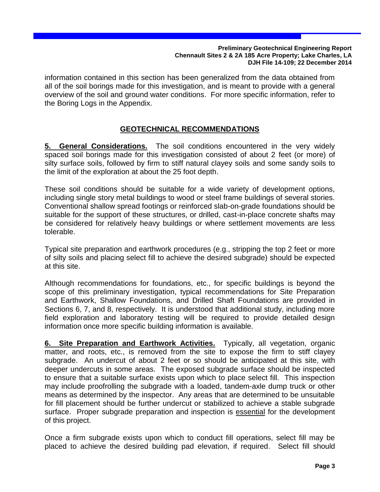information contained in this section has been generalized from the data obtained from all of the soil borings made for this investigation, and is meant to provide with a general overview of the soil and ground water conditions. For more specific information, refer to the Boring Logs in the Appendix.

## **GEOTECHNICAL RECOMMENDATIONS**

**5. General Considerations.** The soil conditions encountered in the very widely spaced soil borings made for this investigation consisted of about 2 feet (or more) of silty surface soils, followed by firm to stiff natural clayey soils and some sandy soils to the limit of the exploration at about the 25 foot depth.

These soil conditions should be suitable for a wide variety of development options, including single story metal buildings to wood or steel frame buildings of several stories. Conventional shallow spread footings or reinforced slab-on-grade foundations should be suitable for the support of these structures, or drilled, cast-in-place concrete shafts may be considered for relatively heavy buildings or where settlement movements are less tolerable.

Typical site preparation and earthwork procedures (e.g., stripping the top 2 feet or more of silty soils and placing select fill to achieve the desired subgrade) should be expected at this site.

Although recommendations for foundations, etc., for specific buildings is beyond the scope of this preliminary investigation, typical recommendations for Site Preparation and Earthwork, Shallow Foundations, and Drilled Shaft Foundations are provided in Sections 6, 7, and 8, respectively. It is understood that additional study, including more field exploration and laboratory testing will be required to provide detailed design information once more specific building information is available.

**6. Site Preparation and Earthwork Activities.** Typically, all vegetation, organic matter, and roots, etc., is removed from the site to expose the firm to stiff clayey subgrade. An undercut of about 2 feet or so should be anticipated at this site, with deeper undercuts in some areas. The exposed subgrade surface should be inspected to ensure that a suitable surface exists upon which to place select fill. This inspection may include proofrolling the subgrade with a loaded, tandem-axle dump truck or other means as determined by the inspector. Any areas that are determined to be unsuitable for fill placement should be further undercut or stabilized to achieve a stable subgrade surface. Proper subgrade preparation and inspection is essential for the development of this project.

Once a firm subgrade exists upon which to conduct fill operations, select fill may be placed to achieve the desired building pad elevation, if required. Select fill should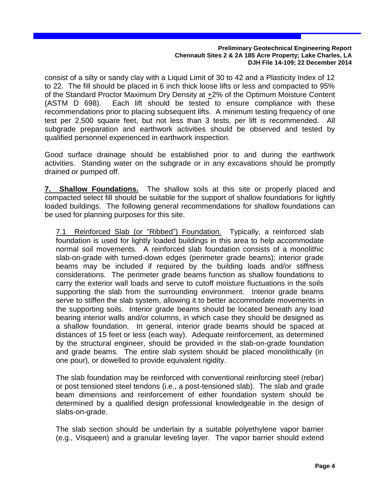consist of a silty or sandy clay with a Liquid Limit of 30 to 42 and a Plasticity Index of 12 to 22. The fill should be placed in 6 inch thick loose lifts or less and compacted to 95% of the Standard Proctor Maximum Dry Density at +2% of the Optimum Moisture Content (ASTM D 698). Each lift should be tested to ensure compliance with these recommendations prior to placing subsequent lifts. A minimum testing frequency of one test per 2,500 square feet, but not less than 3 tests, per lift is recommended. All subgrade preparation and earthwork activities should be observed and tested by qualified personnel experienced in earthwork inspection.

Good surface drainage should be established prior to and during the earthwork activities. Standing water on the subgrade or in any excavations should be promptly drained or pumped off.

**7. Shallow Foundations.** The shallow soils at this site or properly placed and compacted select fill should be suitable for the support of shallow foundations for lightly loaded buildings. The following general recommendations for shallow foundations can be used for planning purposes for this site.

7.1 Reinforced Slab (or "Ribbed") Foundation. Typically, a reinforced slab foundation is used for lightly loaded buildings in this area to help accommodate normal soil movements. A reinforced slab foundation consists of a monolithic slab-on-grade with turned-down edges (perimeter grade beams); interior grade beams may be included if required by the building loads and/or stiffness considerations. The perimeter grade beams function as shallow foundations to carry the exterior wall loads and serve to cutoff moisture fluctuations in the soils supporting the slab from the surrounding environment. Interior grade beams serve to stiffen the slab system, allowing it to better accommodate movements in the supporting soils. Interior grade beams should be located beneath any load bearing interior walls and/or columns, in which case they should be designed as a shallow foundation. In general, interior grade beams should be spaced at distances of 15 feet or less (each way). Adequate reinforcement, as determined by the structural engineer, should be provided in the slab-on-grade foundation and grade beams. The entire slab system should be placed monolithically (in one pour), or dowelled to provide equivalent rigidity.

The slab foundation may be reinforced with conventional reinforcing steel (rebar) or post tensioned steel tendons (i.e., a post-tensioned slab). The slab and grade beam dimensions and reinforcement of either foundation system should be determined by a qualified design professional knowledgeable in the design of slabs-on-grade.

The slab section should be underlain by a suitable polyethylene vapor barrier (e.g., Visqueen) and a granular leveling layer. The vapor barrier should extend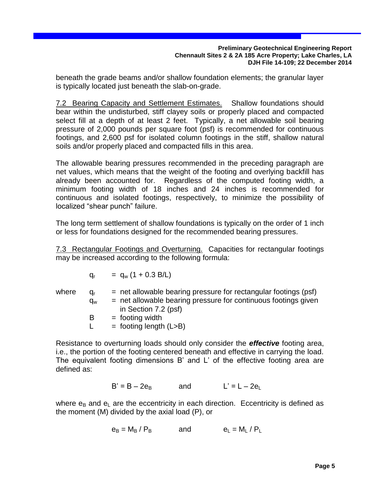beneath the grade beams and/or shallow foundation elements; the granular layer is typically located just beneath the slab-on-grade.

7.2 Bearing Capacity and Settlement Estimates. Shallow foundations should bear within the undisturbed, stiff clayey soils or properly placed and compacted select fill at a depth of at least 2 feet. Typically, a net allowable soil bearing pressure of 2,000 pounds per square foot (psf) is recommended for continuous footings, and 2,600 psf for isolated column footings in the stiff, shallow natural soils and/or properly placed and compacted fills in this area.

The allowable bearing pressures recommended in the preceding paragraph are net values, which means that the weight of the footing and overlying backfill has already been accounted for. Regardless of the computed footing width, a minimum footing width of 18 inches and 24 inches is recommended for continuous and isolated footings, respectively, to minimize the possibility of localized "shear punch" failure.

The long term settlement of shallow foundations is typically on the order of 1 inch or less for foundations designed for the recommended bearing pressures.

7.3 Rectangular Footings and Overturning. Capacities for rectangular footings may be increased according to the following formula:

$$
q_r = q_w (1 + 0.3 B/L)
$$

where  $q_r$  = net allowable bearing pressure for rectangular footings (psf)  $q_w$  = net allowable bearing pressure for continuous footings given in Section 7.2 (psf)  $B =$  footing width  $L =$  footing length (L>B)

Resistance to overturning loads should only consider the *effective* footing area, i.e., the portion of the footing centered beneath and effective in carrying the load. The equivalent footing dimensions B' and L' of the effective footing area are defined as:

$$
B' = B - 2e_B \qquad \text{and} \qquad L' = L - 2e_L
$$

where  $e_B$  and  $e_L$  are the eccentricity in each direction. Eccentricity is defined as the moment (M) divided by the axial load (P), or

$$
e_B = M_B / P_B \qquad \text{and} \qquad e_L = M_L / P_L
$$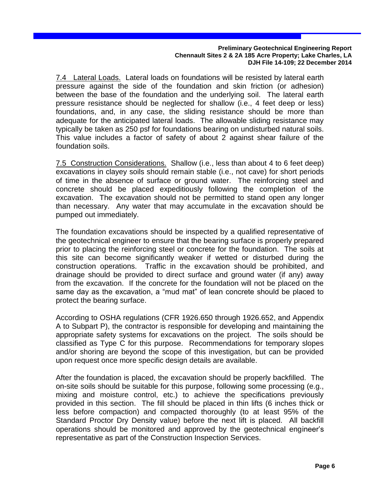7.4 Lateral Loads. Lateral loads on foundations will be resisted by lateral earth pressure against the side of the foundation and skin friction (or adhesion) between the base of the foundation and the underlying soil. The lateral earth pressure resistance should be neglected for shallow (i.e., 4 feet deep or less) foundations, and, in any case, the sliding resistance should be more than adequate for the anticipated lateral loads. The allowable sliding resistance may typically be taken as 250 psf for foundations bearing on undisturbed natural soils. This value includes a factor of safety of about 2 against shear failure of the foundation soils.

7.5 Construction Considerations. Shallow (i.e., less than about 4 to 6 feet deep) excavations in clayey soils should remain stable (i.e., not cave) for short periods of time in the absence of surface or ground water. The reinforcing steel and concrete should be placed expeditiously following the completion of the excavation. The excavation should not be permitted to stand open any longer than necessary. Any water that may accumulate in the excavation should be pumped out immediately.

The foundation excavations should be inspected by a qualified representative of the geotechnical engineer to ensure that the bearing surface is properly prepared prior to placing the reinforcing steel or concrete for the foundation. The soils at this site can become significantly weaker if wetted or disturbed during the construction operations. Traffic in the excavation should be prohibited, and drainage should be provided to direct surface and ground water (if any) away from the excavation. If the concrete for the foundation will not be placed on the same day as the excavation, a "mud mat" of lean concrete should be placed to protect the bearing surface.

According to OSHA regulations (CFR 1926.650 through 1926.652, and Appendix A to Subpart P), the contractor is responsible for developing and maintaining the appropriate safety systems for excavations on the project. The soils should be classified as Type C for this purpose. Recommendations for temporary slopes and/or shoring are beyond the scope of this investigation, but can be provided upon request once more specific design details are available.

After the foundation is placed, the excavation should be properly backfilled. The on-site soils should be suitable for this purpose, following some processing (e.g., mixing and moisture control, etc.) to achieve the specifications previously provided in this section. The fill should be placed in thin lifts (6 inches thick or less before compaction) and compacted thoroughly (to at least 95% of the Standard Proctor Dry Density value) before the next lift is placed. All backfill operations should be monitored and approved by the geotechnical engineer's representative as part of the Construction Inspection Services.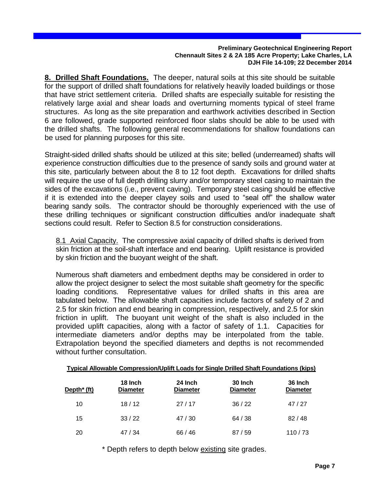**8. Drilled Shaft Foundations.** The deeper, natural soils at this site should be suitable for the support of drilled shaft foundations for relatively heavily loaded buildings or those that have strict settlement criteria. Drilled shafts are especially suitable for resisting the relatively large axial and shear loads and overturning moments typical of steel frame structures. As long as the site preparation and earthwork activities described in Section 6 are followed, grade supported reinforced floor slabs should be able to be used with the drilled shafts. The following general recommendations for shallow foundations can be used for planning purposes for this site.

Straight-sided drilled shafts should be utilized at this site; belled (underreamed) shafts will experience construction difficulties due to the presence of sandy soils and ground water at this site, particularly between about the 8 to 12 foot depth. Excavations for drilled shafts will require the use of full depth drilling slurry and/or temporary steel casing to maintain the sides of the excavations (i.e., prevent caving). Temporary steel casing should be effective if it is extended into the deeper clayey soils and used to "seal off" the shallow water bearing sandy soils. The contractor should be thoroughly experienced with the use of these drilling techniques or significant construction difficulties and/or inadequate shaft sections could result. Refer to Section 8.5 for construction considerations.

8.1 Axial Capacity. The compressive axial capacity of drilled shafts is derived from skin friction at the soil-shaft interface and end bearing. Uplift resistance is provided by skin friction and the buoyant weight of the shaft.

Numerous shaft diameters and embedment depths may be considered in order to allow the project designer to select the most suitable shaft geometry for the specific loading conditions. Representative values for drilled shafts in this area are tabulated below. The allowable shaft capacities include factors of safety of 2 and 2.5 for skin friction and end bearing in compression, respectively, and 2.5 for skin friction in uplift. The buoyant unit weight of the shaft is also included in the provided uplift capacities, along with a factor of safety of 1.1. Capacities for intermediate diameters and/or depths may be interpolated from the table. Extrapolation beyond the specified diameters and depths is not recommended without further consultation.

|                         |                            | Typical Allowable Compression/Uplift Loads for Single Drilled Shaft Foundations (kips) |                            |                            |
|-------------------------|----------------------------|----------------------------------------------------------------------------------------|----------------------------|----------------------------|
| Depth <sup>*</sup> (ft) | 18 Inch<br><b>Diameter</b> | 24 Inch<br><b>Diameter</b>                                                             | 30 Inch<br><b>Diameter</b> | 36 Inch<br><b>Diameter</b> |
| 10                      | 18/12                      | 27/17                                                                                  | 36/22                      | 47/27                      |
| 15                      | 33/22                      | 47/30                                                                                  | 64 / 38                    | 82/48                      |
| 20                      | 47/34                      | 66/46                                                                                  | 87/59                      | 110/73                     |

\* Depth refers to depth below existing site grades.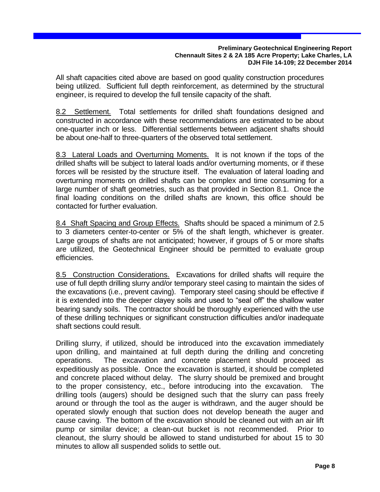All shaft capacities cited above are based on good quality construction procedures being utilized. Sufficient full depth reinforcement, as determined by the structural engineer, is required to develop the full tensile capacity of the shaft.

8.2 Settlement. Total settlements for drilled shaft foundations designed and constructed in accordance with these recommendations are estimated to be about one-quarter inch or less. Differential settlements between adjacent shafts should be about one-half to three-quarters of the observed total settlement.

8.3 Lateral Loads and Overturning Moments. It is not known if the tops of the drilled shafts will be subject to lateral loads and/or overturning moments, or if these forces will be resisted by the structure itself. The evaluation of lateral loading and overturning moments on drilled shafts can be complex and time consuming for a large number of shaft geometries, such as that provided in Section 8.1. Once the final loading conditions on the drilled shafts are known, this office should be contacted for further evaluation.

8.4 Shaft Spacing and Group Effects. Shafts should be spaced a minimum of 2.5 to 3 diameters center-to-center or 5% of the shaft length, whichever is greater. Large groups of shafts are not anticipated; however, if groups of 5 or more shafts are utilized, the Geotechnical Engineer should be permitted to evaluate group efficiencies.

8.5 Construction Considerations. Excavations for drilled shafts will require the use of full depth drilling slurry and/or temporary steel casing to maintain the sides of the excavations (i.e., prevent caving). Temporary steel casing should be effective if it is extended into the deeper clayey soils and used to "seal off" the shallow water bearing sandy soils. The contractor should be thoroughly experienced with the use of these drilling techniques or significant construction difficulties and/or inadequate shaft sections could result.

Drilling slurry, if utilized, should be introduced into the excavation immediately upon drilling, and maintained at full depth during the drilling and concreting operations. The excavation and concrete placement should proceed as expeditiously as possible. Once the excavation is started, it should be completed and concrete placed without delay. The slurry should be premixed and brought to the proper consistency, etc., before introducing into the excavation. The drilling tools (augers) should be designed such that the slurry can pass freely around or through the tool as the auger is withdrawn, and the auger should be operated slowly enough that suction does not develop beneath the auger and cause caving. The bottom of the excavation should be cleaned out with an air lift pump or similar device; a clean-out bucket is not recommended. Prior to cleanout, the slurry should be allowed to stand undisturbed for about 15 to 30 minutes to allow all suspended solids to settle out.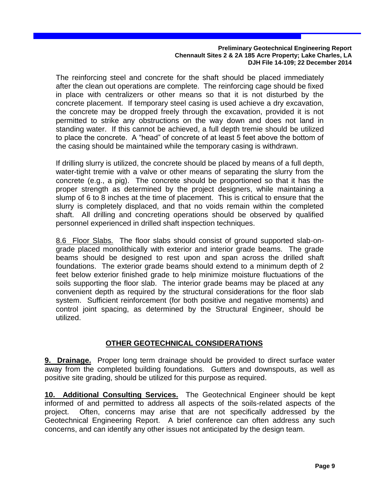The reinforcing steel and concrete for the shaft should be placed immediately after the clean out operations are complete. The reinforcing cage should be fixed in place with centralizers or other means so that it is not disturbed by the concrete placement. If temporary steel casing is used achieve a dry excavation, the concrete may be dropped freely through the excavation, provided it is not permitted to strike any obstructions on the way down and does not land in standing water. If this cannot be achieved, a full depth tremie should be utilized to place the concrete. A "head" of concrete of at least 5 feet above the bottom of the casing should be maintained while the temporary casing is withdrawn.

If drilling slurry is utilized, the concrete should be placed by means of a full depth, water-tight tremie with a valve or other means of separating the slurry from the concrete (e.g., a pig). The concrete should be proportioned so that it has the proper strength as determined by the project designers, while maintaining a slump of 6 to 8 inches at the time of placement. This is critical to ensure that the slurry is completely displaced, and that no voids remain within the completed shaft. All drilling and concreting operations should be observed by qualified personnel experienced in drilled shaft inspection techniques.

8.6 Floor Slabs. The floor slabs should consist of ground supported slab-ongrade placed monolithically with exterior and interior grade beams. The grade beams should be designed to rest upon and span across the drilled shaft foundations. The exterior grade beams should extend to a minimum depth of 2 feet below exterior finished grade to help minimize moisture fluctuations of the soils supporting the floor slab. The interior grade beams may be placed at any convenient depth as required by the structural considerations for the floor slab system. Sufficient reinforcement (for both positive and negative moments) and control joint spacing, as determined by the Structural Engineer, should be utilized.

## **OTHER GEOTECHNICAL CONSIDERATIONS**

**9. Drainage.** Proper long term drainage should be provided to direct surface water away from the completed building foundations. Gutters and downspouts, as well as positive site grading, should be utilized for this purpose as required.

**10. Additional Consulting Services.** The Geotechnical Engineer should be kept informed of and permitted to address all aspects of the soils-related aspects of the project. Often, concerns may arise that are not specifically addressed by the Geotechnical Engineering Report. A brief conference can often address any such concerns, and can identify any other issues not anticipated by the design team.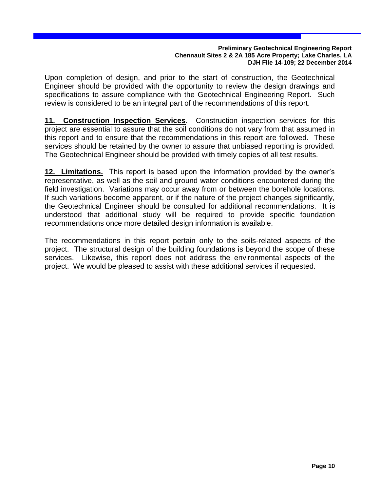Upon completion of design, and prior to the start of construction, the Geotechnical Engineer should be provided with the opportunity to review the design drawings and specifications to assure compliance with the Geotechnical Engineering Report. Such review is considered to be an integral part of the recommendations of this report.

**11. Construction Inspection Services**. Construction inspection services for this project are essential to assure that the soil conditions do not vary from that assumed in this report and to ensure that the recommendations in this report are followed. These services should be retained by the owner to assure that unbiased reporting is provided. The Geotechnical Engineer should be provided with timely copies of all test results.

**12. Limitations.** This report is based upon the information provided by the owner's representative, as well as the soil and ground water conditions encountered during the field investigation. Variations may occur away from or between the borehole locations. If such variations become apparent, or if the nature of the project changes significantly, the Geotechnical Engineer should be consulted for additional recommendations. It is understood that additional study will be required to provide specific foundation recommendations once more detailed design information is available.

The recommendations in this report pertain only to the soils-related aspects of the project. The structural design of the building foundations is beyond the scope of these services. Likewise, this report does not address the environmental aspects of the project. We would be pleased to assist with these additional services if requested.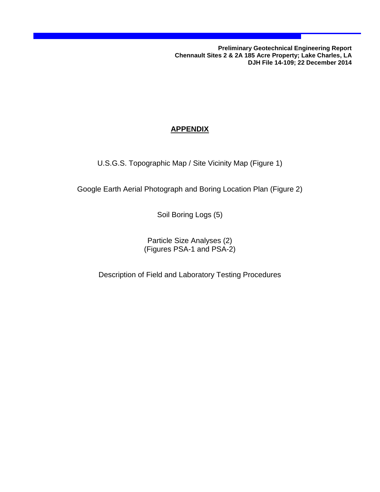## **APPENDIX**

U.S.G.S. Topographic Map / Site Vicinity Map (Figure 1)

Google Earth Aerial Photograph and Boring Location Plan (Figure 2)

Soil Boring Logs (5)

Particle Size Analyses (2) (Figures PSA-1 and PSA-2)

Description of Field and Laboratory Testing Procedures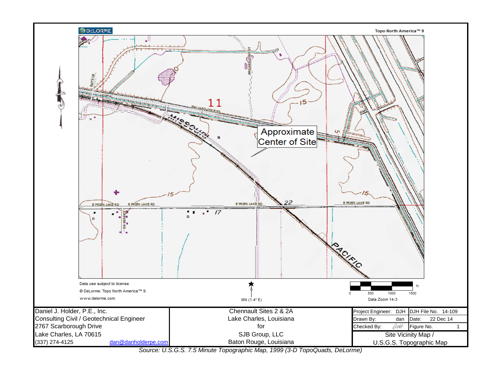

*Source: U.S.G.S. 7.5 Minute Topographic Map, 1999 (3-D TopoQuads, DeLorme)*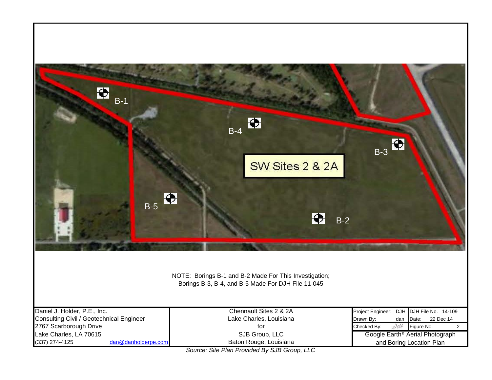

*Source: Site Plan Provided By SJB Group, LLC*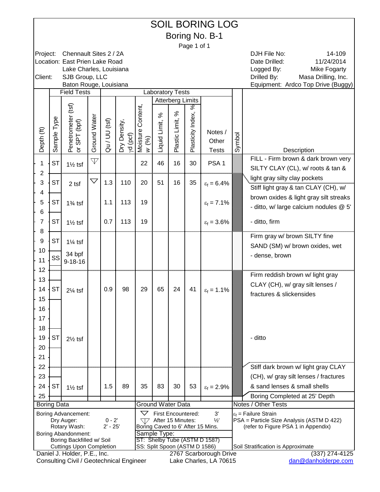|                    | <b>SOIL BORING LOG</b><br>Boring No. B-1                                    |                                                                                 |                    |               |              |                    |                               |                         |                   |                                                  |        |                                                                  |
|--------------------|-----------------------------------------------------------------------------|---------------------------------------------------------------------------------|--------------------|---------------|--------------|--------------------|-------------------------------|-------------------------|-------------------|--------------------------------------------------|--------|------------------------------------------------------------------|
|                    | Page 1 of 1<br>Chennault Sites 2 / 2A<br>14-109<br>DJH File No:<br>Project: |                                                                                 |                    |               |              |                    |                               |                         |                   |                                                  |        |                                                                  |
|                    |                                                                             |                                                                                 |                    |               |              |                    |                               |                         |                   |                                                  |        |                                                                  |
|                    |                                                                             | Location: East Prien Lake Road                                                  |                    |               |              |                    |                               |                         |                   |                                                  |        | Date Drilled:<br>11/24/2014                                      |
| Client:            |                                                                             | Lake Charles, Louisiana<br>SJB Group, LLC                                       |                    |               |              |                    |                               |                         |                   |                                                  |        | Logged By:<br>Mike Fogarty<br>Drilled By:<br>Masa Drilling, Inc. |
|                    |                                                                             | Baton Rouge, Louisiana                                                          |                    |               |              |                    |                               |                         |                   |                                                  |        | Equipment: Ardco Top Drive (Buggy)                               |
|                    |                                                                             | <b>Field Tests</b>                                                              |                    |               |              |                    | <b>Laboratory Tests</b>       |                         |                   |                                                  |        |                                                                  |
|                    |                                                                             |                                                                                 |                    |               |              |                    |                               | <b>Atterberg Limits</b> |                   |                                                  |        |                                                                  |
|                    |                                                                             |                                                                                 |                    |               |              |                    | న                             | ℅                       | శ                 |                                                  |        |                                                                  |
|                    | Type                                                                        |                                                                                 |                    |               |              | Content,           |                               |                         |                   |                                                  |        |                                                                  |
|                    |                                                                             | Penetrometer (tsf)<br>or SPT (bpf)                                              | Ground Water       | Qu / UU (tsf) | Dry Density, |                    | Liquid Limit,                 | Plastic Limit,          | Plasticity Index, | Notes /                                          |        |                                                                  |
| Depth (ft)         | ample                                                                       |                                                                                 |                    |               | yd (pcf)     | Moisture<br>$w(%)$ |                               |                         |                   | Other                                            | Symbol |                                                                  |
|                    | ഗ                                                                           |                                                                                 |                    |               |              |                    |                               |                         |                   | <b>Tests</b>                                     |        | Description                                                      |
| 1                  | <b>ST</b>                                                                   |                                                                                 | $\mathbb {V}$      |               |              | 22                 | 46                            | 16                      | 30                | PSA <sub>1</sub>                                 |        | FILL - Firm brown & dark brown very                              |
| $\overline{c}$     |                                                                             | $1\frac{1}{2}$ tsf                                                              |                    |               |              |                    |                               |                         |                   |                                                  |        | SILTY CLAY (CL), w/ roots & tan &                                |
| 3                  | <b>ST</b>                                                                   |                                                                                 | $\bigtriangledown$ | 1.3           | 110          | 20                 | 51                            | 16                      | 35                |                                                  |        | light gray silty clay pockets                                    |
|                    |                                                                             | 2 tsf                                                                           |                    |               |              |                    |                               |                         |                   | $\epsilon_f = 6.4\%$                             |        | Stiff light gray & tan CLAY (CH), w/                             |
| 4                  |                                                                             |                                                                                 |                    |               |              |                    |                               |                         |                   |                                                  |        | brown oxides & light gray silt streaks                           |
| 5                  | <b>ST</b>                                                                   | $1\frac{3}{4}$ tsf                                                              |                    | 1.1           | 113          | 19                 |                               |                         |                   | $\varepsilon_f = 7.1\%$                          |        | - ditto, w/ large calcium nodules @ 5'                           |
| $\,6$              |                                                                             |                                                                                 |                    |               |              |                    |                               |                         |                   |                                                  |        |                                                                  |
| $\overline{7}$     | <b>ST</b>                                                                   | $1\frac{1}{2}$ tsf                                                              |                    | 0.7           | 113          | 19                 |                               |                         |                   | $\varepsilon_f = 3.6\%$                          |        | - ditto, firm                                                    |
| 8                  |                                                                             |                                                                                 |                    |               |              |                    |                               |                         |                   |                                                  |        | Firm gray w/ brown SILTY fine                                    |
| $\boldsymbol{9}$   | <b>ST</b>                                                                   | $1\frac{1}{4}$ tsf                                                              |                    |               |              |                    |                               |                         |                   |                                                  |        | SAND (SM) w/ brown oxides, wet                                   |
| 10                 | SS                                                                          | 34 bpf                                                                          |                    |               |              |                    |                               |                         |                   |                                                  |        | - dense, brown                                                   |
| 11                 |                                                                             | $9 - 18 - 16$                                                                   |                    |               |              |                    |                               |                         |                   |                                                  |        |                                                                  |
| 12<br>13           |                                                                             |                                                                                 |                    |               |              |                    |                               |                         |                   |                                                  |        | Firm reddish brown w/ light gray                                 |
|                    |                                                                             |                                                                                 |                    |               |              |                    |                               |                         |                   |                                                  |        | CLAY (CH), w/ gray silt lenses /                                 |
| 14                 | <b>ST</b>                                                                   | $2\frac{1}{4}$ tsf                                                              |                    | 0.9           | 98           | 29                 | 65                            | 24                      | 41                | $\varepsilon_f = 1.1\%$                          |        | fractures & slickensides                                         |
| 15                 |                                                                             |                                                                                 |                    |               |              |                    |                               |                         |                   |                                                  |        |                                                                  |
| 16                 |                                                                             |                                                                                 |                    |               |              |                    |                               |                         |                   |                                                  |        |                                                                  |
| 17                 |                                                                             |                                                                                 |                    |               |              |                    |                               |                         |                   |                                                  |        |                                                                  |
| 18                 |                                                                             |                                                                                 |                    |               |              |                    |                               |                         |                   |                                                  |        |                                                                  |
| 19                 | <b>ST</b>                                                                   | $2\frac{1}{2}$ tsf                                                              |                    |               |              |                    |                               |                         |                   |                                                  |        | - ditto                                                          |
| 20                 |                                                                             |                                                                                 |                    |               |              |                    |                               |                         |                   |                                                  |        |                                                                  |
| 21                 |                                                                             |                                                                                 |                    |               |              |                    |                               |                         |                   |                                                  |        |                                                                  |
| 22                 |                                                                             |                                                                                 |                    |               |              |                    |                               |                         |                   |                                                  |        | Stiff dark brown w/ light gray CLAY                              |
| 23                 |                                                                             |                                                                                 |                    |               |              |                    |                               |                         |                   |                                                  |        | (CH), w/ gray silt lenses / fractures                            |
| 24                 | <b>ST</b>                                                                   | $1\frac{1}{2}$ tsf                                                              |                    | 1.5           | 89           | 35                 | 83                            | 30                      | 53                | $\epsilon_f = 2.9\%$                             |        | & sand lenses & small shells                                     |
| 25                 |                                                                             |                                                                                 |                    |               |              |                    | <b>Ground Water Data</b>      |                         |                   |                                                  |        | Boring Completed at 25' Depth<br>Notes / Other Tests             |
| <b>Boring Data</b> |                                                                             | <b>Boring Advancement:</b>                                                      |                    |               |              | $\bigtriangledown$ | <b>First Encountered:</b>     |                         |                   | 3'                                               |        | $\varepsilon_f$ = Failure Strain                                 |
|                    |                                                                             | Dry Auger:                                                                      |                    | $0 - 2'$      |              | 77                 | After 15 Minutes:             |                         |                   | $\frac{1}{2}$                                    |        | PSA = Particle Size Analysis (ASTM D 422)                        |
|                    |                                                                             | Rotary Wash:                                                                    |                    | $2' - 25'$    |              |                    |                               |                         |                   | Boring Caved to 6' After 15 Mins.                |        | (refer to Figure PSA 1 in Appendix)                              |
|                    |                                                                             | Boring Abandonment:<br>Boring Backfilled w/ Soil                                |                    |               |              |                    | Sample Type:                  |                         |                   | ST: Shelby Tube (ASTM D 1587)                    |        |                                                                  |
|                    |                                                                             | <b>Cuttings Upon Completion</b>                                                 |                    |               |              |                    | SS: Split Spoon (ASTM D 1586) |                         |                   |                                                  |        | Soil Stratification is Approximate                               |
|                    |                                                                             | Daniel J. Holder, P.E., Inc.<br><b>Consulting Civil / Geotechnical Engineer</b> |                    |               |              |                    |                               |                         |                   | 2767 Scarborough Drive<br>Lake Charles, LA 70615 |        | $(337)$ 274-4125<br>dan@danholderpe.com                          |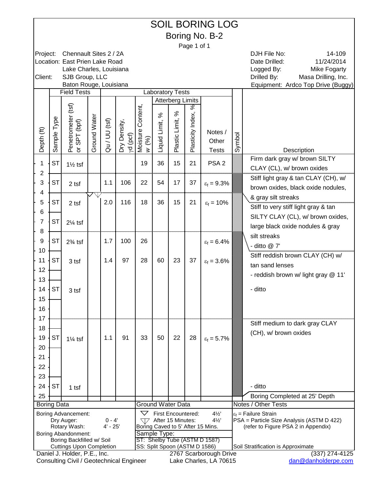|                    | <b>SOIL BORING LOG</b><br>Boring No. B-2                                    |                                                              |              |                        |              |                    |                               |                           |                   |                                                     |        |                                                                                  |
|--------------------|-----------------------------------------------------------------------------|--------------------------------------------------------------|--------------|------------------------|--------------|--------------------|-------------------------------|---------------------------|-------------------|-----------------------------------------------------|--------|----------------------------------------------------------------------------------|
|                    | Page 1 of 1<br>Chennault Sites 2 / 2A<br>DJH File No:<br>14-109<br>Project: |                                                              |              |                        |              |                    |                               |                           |                   |                                                     |        |                                                                                  |
|                    |                                                                             |                                                              |              |                        |              |                    |                               |                           |                   |                                                     |        |                                                                                  |
|                    |                                                                             | Location: East Prien Lake Road                               |              |                        |              |                    |                               |                           |                   |                                                     |        | Date Drilled:<br>11/24/2014                                                      |
| Client:            |                                                                             | Lake Charles, Louisiana<br>SJB Group, LLC                    |              |                        |              |                    |                               |                           |                   |                                                     |        | Logged By:<br><b>Mike Fogarty</b><br>Drilled By:<br>Masa Drilling, Inc.          |
|                    |                                                                             | Baton Rouge, Louisiana                                       |              |                        |              |                    |                               |                           |                   |                                                     |        | Equipment: Ardco Top Drive (Buggy)                                               |
|                    |                                                                             | <b>Field Tests</b>                                           |              |                        |              |                    | <b>Laboratory Tests</b>       |                           |                   |                                                     |        |                                                                                  |
|                    |                                                                             |                                                              |              |                        |              |                    |                               | <b>Atterberg Limits</b>   | శ                 |                                                     |        |                                                                                  |
|                    |                                                                             | Penetrometer (tsf)                                           |              |                        |              | Content,           | న                             | ℅                         |                   |                                                     |        |                                                                                  |
|                    | ample Type                                                                  | (bpf)                                                        | Ground Water |                        |              |                    |                               | Plastic Limit,            | Plasticity Index, |                                                     |        |                                                                                  |
|                    |                                                                             |                                                              |              | Qu / UU (tsf)          | Dry Density, |                    | Liquid Limit,                 |                           |                   | Notes /                                             |        |                                                                                  |
| Depth (ft)         |                                                                             | or SPT                                                       |              |                        | yd (pcf)     | Moisture<br>W(%)   |                               |                           |                   | Other                                               | Symbol |                                                                                  |
|                    | ഗ                                                                           |                                                              |              |                        |              |                    |                               |                           |                   | <b>Tests</b>                                        |        | Description                                                                      |
| 1                  | <b>ST</b>                                                                   | $1\frac{1}{2}$ tsf                                           |              |                        |              | 19                 | 36                            | 15                        | 21                | PSA <sub>2</sub>                                    |        | Firm dark gray w/ brown SILTY                                                    |
| $\overline{c}$     |                                                                             |                                                              |              |                        |              |                    |                               |                           |                   |                                                     |        | CLAY (CL), w/ brown oxides                                                       |
| 3                  | <b>ST</b>                                                                   | 2 tsf                                                        |              | 1.1                    | 106          | 22                 | 54                            | 17                        | 37                | $\epsilon_f = 9.3\%$                                |        | Stiff light gray & tan CLAY (CH), w/                                             |
| 4                  |                                                                             |                                                              |              |                        |              |                    |                               |                           |                   |                                                     |        | brown oxides, black oxide nodules,                                               |
| 5                  | <b>ST</b>                                                                   | 2 tsf                                                        |              | 2.0                    | 116          | 18                 | 36                            | 15                        | 21                | $\epsilon_f = 10\%$                                 |        | & gray silt streaks                                                              |
| $\,6$              |                                                                             |                                                              |              |                        |              |                    |                               |                           |                   |                                                     |        | Stiff to very stiff light gray & tan                                             |
| $\overline{7}$     | <b>ST</b>                                                                   | $2\frac{1}{4}$ tsf                                           |              |                        |              |                    |                               |                           |                   |                                                     |        | SILTY CLAY (CL), w/ brown oxides,                                                |
| 8                  |                                                                             |                                                              |              |                        |              |                    |                               |                           |                   |                                                     |        | large black oxide nodules & gray                                                 |
| $\boldsymbol{9}$   | <b>ST</b>                                                                   | $2\%$ tsf                                                    |              | 1.7                    | 100          | 26                 |                               |                           |                   | $\varepsilon_f = 6.4\%$                             |        | silt streaks                                                                     |
| 10                 |                                                                             |                                                              |              |                        |              |                    |                               |                           |                   |                                                     |        | - ditto @ 7'                                                                     |
| 11                 | <b>ST</b>                                                                   | 3 tsf                                                        |              | 1.4                    | 97           | 28                 | 60                            | 23                        | 37                | $\varepsilon_f = 3.6\%$                             |        | Stiff reddish brown CLAY (CH) w/                                                 |
| 12                 |                                                                             |                                                              |              |                        |              |                    |                               |                           |                   |                                                     |        | tan sand lenses                                                                  |
| 13                 |                                                                             |                                                              |              |                        |              |                    |                               |                           |                   |                                                     |        | - reddish brown w/ light gray @ 11'                                              |
| 14                 | <b>ST</b>                                                                   | 3 tsf                                                        |              |                        |              |                    |                               |                           |                   |                                                     |        | - ditto                                                                          |
| 15                 |                                                                             |                                                              |              |                        |              |                    |                               |                           |                   |                                                     |        |                                                                                  |
| 16                 |                                                                             |                                                              |              |                        |              |                    |                               |                           |                   |                                                     |        |                                                                                  |
| 17                 |                                                                             |                                                              |              |                        |              |                    |                               |                           |                   |                                                     |        |                                                                                  |
| 18                 |                                                                             |                                                              |              |                        |              |                    |                               |                           |                   |                                                     |        | Stiff medium to dark gray CLAY                                                   |
| 19                 | <b>ST</b>                                                                   | $1\frac{1}{4}$ tsf                                           |              | 1.1                    | 91           | 33                 | 50                            | 22                        | 28                | $\varepsilon_f = 5.7\%$                             |        | (CH), w/ brown oxides                                                            |
| 20                 |                                                                             |                                                              |              |                        |              |                    |                               |                           |                   |                                                     |        |                                                                                  |
| 21                 |                                                                             |                                                              |              |                        |              |                    |                               |                           |                   |                                                     |        |                                                                                  |
| 22                 |                                                                             |                                                              |              |                        |              |                    |                               |                           |                   |                                                     |        |                                                                                  |
| 23                 |                                                                             |                                                              |              |                        |              |                    |                               |                           |                   |                                                     |        |                                                                                  |
| 24                 | <b>ST</b>                                                                   | 1 tsf                                                        |              |                        |              |                    |                               |                           |                   |                                                     |        | - ditto                                                                          |
| 25                 |                                                                             |                                                              |              |                        |              |                    |                               |                           |                   |                                                     |        | Boring Completed at 25' Depth                                                    |
| <b>Boring Data</b> |                                                                             |                                                              |              |                        |              |                    | <b>Ground Water Data</b>      |                           |                   |                                                     |        | Notes / Other Tests                                                              |
|                    |                                                                             | Boring Advancement:                                          |              |                        |              | $\bigtriangledown$ |                               | <b>First Encountered:</b> |                   | $4\frac{1}{2}$                                      |        | $\varepsilon_f$ = Failure Strain                                                 |
|                    |                                                                             | Dry Auger:<br>Rotary Wash:                                   |              | $0 - 4'$<br>$4' - 25'$ |              | 77                 | After 15 Minutes:             |                           |                   | $4\frac{1}{2}$<br>Boring Caved to 5' After 15 Mins. |        | PSA = Particle Size Analysis (ASTM D 422)<br>(refer to Figure PSA 2 in Appendix) |
|                    |                                                                             | Boring Abandonment:                                          |              |                        |              |                    | Sample Type:                  |                           |                   |                                                     |        |                                                                                  |
|                    |                                                                             | Boring Backfilled w/ Soil<br><b>Cuttings Upon Completion</b> |              |                        |              |                    | SS: Split Spoon (ASTM D 1586) |                           |                   | ST: Shelby Tube (ASTM D 1587)                       |        | Soil Stratification is Approximate                                               |
|                    |                                                                             | Daniel J. Holder, P.E., Inc.                                 |              |                        |              |                    |                               |                           |                   | 2767 Scarborough Drive                              |        | $(337)$ 274-4125                                                                 |
|                    |                                                                             | <b>Consulting Civil / Geotechnical Engineer</b>              |              |                        |              |                    |                               |                           |                   | Lake Charles, LA 70615                              |        | dan@danholderpe.com                                                              |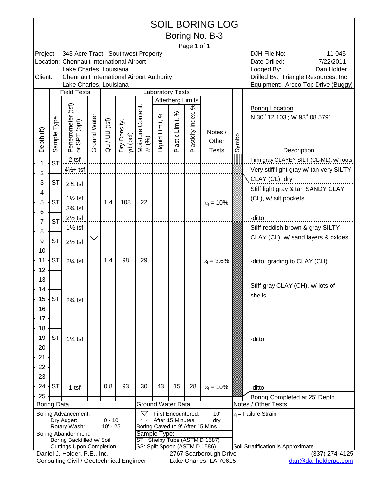|                    |             |                                                                      |                    |                          |              |                               |                         |                         |                   | <b>SOIL BORING LOG</b>                  |        |                                                        |
|--------------------|-------------|----------------------------------------------------------------------|--------------------|--------------------------|--------------|-------------------------------|-------------------------|-------------------------|-------------------|-----------------------------------------|--------|--------------------------------------------------------|
|                    |             |                                                                      |                    |                          |              |                               |                         |                         |                   | Boring No. B-3                          |        |                                                        |
|                    |             |                                                                      |                    |                          |              |                               |                         |                         | Page 1 of 1       |                                         |        |                                                        |
| Project:           |             | 343 Acre Tract - Southwest Property                                  |                    |                          |              |                               |                         |                         |                   |                                         |        | DJH File No:<br>11-045                                 |
|                    |             | Location: Chennault International Airport<br>Lake Charles, Louisiana |                    |                          |              |                               |                         |                         |                   |                                         |        | 7/22/2011<br>Date Drilled:<br>Logged By:<br>Dan Holder |
| Client:            |             | <b>Chennault International Airport Authority</b>                     |                    |                          |              |                               |                         |                         |                   |                                         |        | Drilled By: Triangle Resources, Inc.                   |
|                    |             | Lake Charles, Louisiana<br><b>Field Tests</b>                        |                    |                          |              |                               | <b>Laboratory Tests</b> |                         |                   |                                         |        | Equipment: Ardco Top Drive (Buggy)                     |
|                    |             |                                                                      |                    |                          |              |                               |                         | <b>Atterberg Limits</b> |                   |                                         |        |                                                        |
|                    |             |                                                                      |                    |                          |              |                               |                         |                         | ℅                 |                                         |        | <b>Boring Location:</b>                                |
|                    |             |                                                                      |                    |                          |              |                               | $\%$                    | $\%$                    |                   |                                         |        | N 30° 12.103'; W 93° 08.579'                           |
|                    | Sample Type |                                                                      | Ground Water       | Qu / UU (tsf)            | Dry Density, | Moisture Content,             | Liquid Limit,           | Plastic Limit,          | Plasticity Index, | Notes /                                 |        |                                                        |
| Depth (ft)         |             |                                                                      |                    |                          |              | (%)                           |                         |                         |                   | Other                                   | Symbol |                                                        |
|                    |             | Penetrometer (tsf)<br>or SPT (bpf)                                   |                    |                          | yd (pcf)     | $\geq$                        |                         |                         |                   | <b>Tests</b>                            |        | Description                                            |
|                    | <b>ST</b>   | 2 tsf                                                                |                    |                          |              |                               |                         |                         |                   |                                         |        | Firm gray CLAYEY SILT (CL-ML), w/ roots                |
| 1<br>2             |             | $4\frac{1}{2}$ + tsf                                                 |                    |                          |              |                               |                         |                         |                   |                                         |        | Very stiff light gray w/ tan very SILTY                |
| 3                  | <b>ST</b>   |                                                                      |                    |                          |              |                               |                         |                         |                   |                                         |        | CLAY (CL), dry                                         |
| 4                  |             | $2\frac{3}{4}$ tsf                                                   |                    |                          |              |                               |                         |                         |                   |                                         |        | Stiff light gray & tan SANDY CLAY                      |
| 5                  | <b>ST</b>   | $1\frac{1}{2}$ tsf                                                   |                    | 1.4                      | 108          | 22                            |                         |                         |                   | $\varepsilon_f = 10\%$                  |        | (CL), w/ silt pockets                                  |
| 6                  |             | $3\%$ tsf                                                            |                    |                          |              |                               |                         |                         |                   |                                         |        |                                                        |
| 7                  | <b>ST</b>   | $2\frac{1}{2}$ tsf                                                   |                    |                          |              |                               |                         |                         |                   |                                         |        | -ditto                                                 |
| 8                  |             | $1\frac{1}{2}$ tsf                                                   |                    |                          |              |                               |                         |                         |                   |                                         |        | Stiff reddish brown & gray SILTY                       |
| 9                  | <b>ST</b>   | $2\frac{1}{2}$ tsf                                                   | $\bigtriangledown$ |                          |              |                               |                         |                         |                   |                                         |        | CLAY (CL), w/ sand layers & oxides                     |
| 10                 |             |                                                                      |                    |                          |              |                               |                         |                         |                   |                                         |        |                                                        |
| 11                 | <b>ST</b>   | $2\frac{1}{4}$ tsf                                                   |                    | 1.4                      | 98           | 29                            |                         |                         |                   | $\varepsilon_f = 3.6\%$                 |        | -ditto, grading to CLAY (CH)                           |
| 12                 |             |                                                                      |                    |                          |              |                               |                         |                         |                   |                                         |        |                                                        |
| 13                 |             |                                                                      |                    |                          |              |                               |                         |                         |                   |                                         |        |                                                        |
| 14                 |             |                                                                      |                    |                          |              |                               |                         |                         |                   |                                         |        | Stiff gray CLAY (CH), w/ lots of                       |
| 15                 | <b>ST</b>   | $2\frac{3}{4}$ tsf                                                   |                    |                          |              |                               |                         |                         |                   |                                         |        | shells                                                 |
| 16                 |             |                                                                      |                    |                          |              |                               |                         |                         |                   |                                         |        |                                                        |
| 17                 |             |                                                                      |                    |                          |              |                               |                         |                         |                   |                                         |        |                                                        |
| 18                 |             |                                                                      |                    |                          |              |                               |                         |                         |                   |                                         |        |                                                        |
| 19                 | <b>ST</b>   | $1\frac{1}{4}$ tsf                                                   |                    |                          |              |                               |                         |                         |                   |                                         |        | -ditto                                                 |
| 20                 |             |                                                                      |                    |                          |              |                               |                         |                         |                   |                                         |        |                                                        |
| 21                 |             |                                                                      |                    |                          |              |                               |                         |                         |                   |                                         |        |                                                        |
| 22                 |             |                                                                      |                    |                          |              |                               |                         |                         |                   |                                         |        |                                                        |
| 23<br>24           | <b>ST</b>   |                                                                      |                    | 0.8                      | 93           | 30                            | 43                      | 15                      | 28                |                                         |        |                                                        |
| 25                 |             | $1$ tsf                                                              |                    |                          |              |                               |                         |                         |                   | $\epsilon_f = 10\%$                     |        | -ditto                                                 |
| <b>Boring Data</b> |             |                                                                      |                    |                          |              | <b>Ground Water Data</b>      |                         |                         |                   |                                         |        | Boring Completed at 25' Depth<br>Notes / Other Tests   |
|                    |             | Boring Advancement:                                                  |                    |                          |              | $\bigtriangledown$            | First Encountered:      |                         |                   | 10'                                     |        | $\varepsilon_f$ = Failure Strain                       |
|                    |             | Dry Auger:<br>Rotary Wash:                                           |                    | $0 - 10'$<br>$10' - 25'$ |              | W                             | After 15 Minutes:       |                         |                   | dry<br>Boring Caved to 9' After 15 Mins |        |                                                        |
|                    |             | <b>Boring Abandonment:</b>                                           |                    |                          |              | Sample Type:                  |                         |                         |                   |                                         |        |                                                        |
|                    |             | Boring Backfilled w/ Soil<br><b>Cuttings Upon Completion</b>         |                    |                          |              | SS: Split Spoon (ASTM D 1586) |                         |                         |                   | ST: Shelby Tube (ASTM D 1587)           |        | Soil Stratification is Approximate                     |
|                    |             | Daniel J. Holder, P.E., Inc.                                         |                    |                          |              |                               |                         |                         |                   | 2767 Scarborough Drive                  |        | $(337)$ 274-4125                                       |
|                    |             | Consulting Civil / Geotechnical Engineer                             |                    |                          |              |                               |                         |                         |                   | Lake Charles, LA 70615                  |        | dan@danholderpe.com                                    |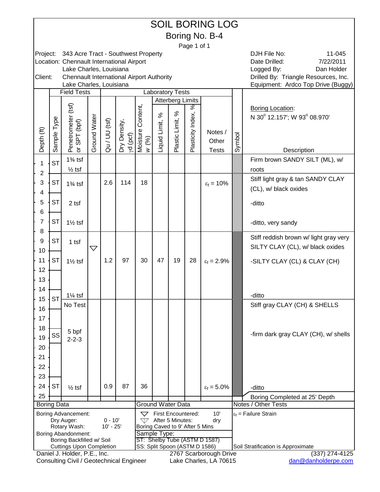|                    | <b>SOIL BORING LOG</b><br>Boring No. B-4                                                 |                                                                 |                    |               |                          |                                                 |               |                           |                   |                               |        |                                                        |
|--------------------|------------------------------------------------------------------------------------------|-----------------------------------------------------------------|--------------------|---------------|--------------------------|-------------------------------------------------|---------------|---------------------------|-------------------|-------------------------------|--------|--------------------------------------------------------|
|                    | Page 1 of 1<br>DJH File No:<br>Project:<br>343 Acre Tract - Southwest Property<br>11-045 |                                                                 |                    |               |                          |                                                 |               |                           |                   |                               |        |                                                        |
|                    |                                                                                          | Location: Chennault International Airport                       |                    |               |                          |                                                 |               |                           |                   |                               |        | Date Drilled:<br>7/22/2011                             |
|                    |                                                                                          | Lake Charles, Louisiana                                         |                    |               |                          |                                                 |               |                           |                   |                               |        | Logged By:<br>Dan Holder                               |
| Client:            |                                                                                          | <b>Chennault International Airport Authority</b>                |                    |               |                          |                                                 |               |                           |                   |                               |        | Drilled By: Triangle Resources, Inc.                   |
|                    |                                                                                          | Lake Charles, Louisiana<br><b>Field Tests</b>                   |                    |               |                          |                                                 |               | <b>Laboratory Tests</b>   |                   |                               |        | Equipment: Ardco Top Drive (Buggy)                     |
|                    |                                                                                          |                                                                 |                    |               |                          |                                                 |               | <b>Atterberg Limits</b>   |                   |                               |        |                                                        |
|                    |                                                                                          |                                                                 |                    |               |                          |                                                 |               | ℅                         | ङ                 |                               |        | <b>Boring Location:</b>                                |
|                    |                                                                                          |                                                                 |                    |               |                          | Content,                                        | $\%$          |                           |                   |                               |        | N 30° 12.157'; W 93° 08.970'                           |
|                    |                                                                                          |                                                                 |                    |               |                          |                                                 |               |                           |                   | Notes /                       |        |                                                        |
| Depth (ft)         | Sample Type                                                                              | Penetrometer (tsf)<br>or SPT (bpf)                              | Ground Water       | Qu / UU (tsf) | Dry Density,<br>yd (pcf) | Moisture (<br>$(96)$                            | Liquid Limit, | Plastic Limit,            | Plasticity Index, | Other                         | Symbol |                                                        |
|                    |                                                                                          |                                                                 |                    |               |                          | $\overline{z}$                                  |               |                           |                   | <b>Tests</b>                  |        | Description                                            |
| 1                  | <b>ST</b>                                                                                | $1\frac{3}{4}$ tsf                                              |                    |               |                          |                                                 |               |                           |                   |                               |        | Firm brown SANDY SILT (ML), w/                         |
| 2                  |                                                                                          | $\frac{1}{2}$ tsf                                               |                    |               |                          |                                                 |               |                           |                   |                               |        | roots                                                  |
| 3                  | <b>ST</b>                                                                                | $1\frac{3}{4}$ tsf                                              |                    | 2.6           | 114                      | 18                                              |               |                           |                   | $\epsilon_f = 10\%$           |        | Stiff light gray & tan SANDY CLAY                      |
| 4                  |                                                                                          |                                                                 |                    |               |                          |                                                 |               |                           |                   |                               |        | (CL), w/ black oxides                                  |
| 5                  | <b>ST</b>                                                                                | 2 tsf                                                           |                    |               |                          |                                                 |               |                           |                   |                               |        | -ditto                                                 |
| 6                  |                                                                                          |                                                                 |                    |               |                          |                                                 |               |                           |                   |                               |        |                                                        |
| 7                  | <b>ST</b>                                                                                | $1\frac{1}{2}$ tsf                                              |                    |               |                          |                                                 |               |                           |                   |                               |        | -ditto, very sandy                                     |
| 8                  |                                                                                          |                                                                 |                    |               |                          |                                                 |               |                           |                   |                               |        | Stiff reddish brown w/ light gray very                 |
| $\boldsymbol{9}$   | <b>ST</b>                                                                                | $1$ tsf                                                         | $\bigtriangledown$ |               |                          |                                                 |               |                           |                   |                               |        | SILTY CLAY (CL), w/ black oxides                       |
| 10                 |                                                                                          |                                                                 |                    |               |                          |                                                 |               |                           |                   |                               |        |                                                        |
| 11<br>12           | <b>ST</b>                                                                                | $1\frac{1}{2}$ tsf                                              |                    | 1.2           | 97                       | 30                                              | 47            | 19                        | 28                | $\varepsilon_f = 2.9\%$       |        | -SILTY CLAY (CL) & CLAY (CH)                           |
| 13                 |                                                                                          |                                                                 |                    |               |                          |                                                 |               |                           |                   |                               |        |                                                        |
| 14                 |                                                                                          |                                                                 |                    |               |                          |                                                 |               |                           |                   |                               |        |                                                        |
| 15                 | <b>ST</b>                                                                                | $1\%$ tsf                                                       |                    |               |                          |                                                 |               |                           |                   |                               |        | -ditto                                                 |
| 16                 |                                                                                          | No Test                                                         |                    |               |                          |                                                 |               |                           |                   |                               |        | Stiff gray CLAY (CH) & SHELLS                          |
| 17                 |                                                                                          |                                                                 |                    |               |                          |                                                 |               |                           |                   |                               |        |                                                        |
| 18                 |                                                                                          | 5 bpf                                                           |                    |               |                          |                                                 |               |                           |                   |                               |        |                                                        |
| 19                 | SS                                                                                       | $2 - 2 - 3$                                                     |                    |               |                          |                                                 |               |                           |                   |                               |        | -firm dark gray CLAY (CH), w/ shells                   |
| 20                 |                                                                                          |                                                                 |                    |               |                          |                                                 |               |                           |                   |                               |        |                                                        |
| 21                 |                                                                                          |                                                                 |                    |               |                          |                                                 |               |                           |                   |                               |        |                                                        |
| 22                 |                                                                                          |                                                                 |                    |               |                          |                                                 |               |                           |                   |                               |        |                                                        |
| 23                 |                                                                                          |                                                                 |                    |               |                          |                                                 |               |                           |                   |                               |        |                                                        |
| 24                 | <b>ST</b>                                                                                | $\frac{1}{2}$ tsf                                               |                    | 0.9           | 87                       | 36                                              |               |                           |                   | $\epsilon_f = 5.0\%$          |        | -ditto                                                 |
| 25                 |                                                                                          |                                                                 |                    |               |                          | <b>Ground Water Data</b>                        |               |                           |                   |                               |        | Boring Completed at 25' Depth<br>Notes / Other Tests   |
| <b>Boring Data</b> |                                                                                          | <b>Boring Advancement:</b>                                      |                    |               |                          | $\bigtriangledown$                              |               | <b>First Encountered:</b> |                   | 10'                           |        | $\varepsilon_f$ = Failure Strain                       |
|                    |                                                                                          | Dry Auger:                                                      |                    | $0 - 10'$     |                          | 77                                              |               | After 5 Minutes:          |                   | dry                           |        |                                                        |
|                    |                                                                                          | Rotary Wash:<br><b>Boring Abandonment:</b>                      |                    | $10' - 25'$   |                          | Boring Caved to 9' After 5 Mins<br>Sample Type: |               |                           |                   |                               |        |                                                        |
|                    |                                                                                          | Boring Backfilled w/ Soil                                       |                    |               |                          |                                                 |               |                           |                   | ST: Shelby Tube (ASTM D 1587) |        |                                                        |
|                    |                                                                                          | <b>Cuttings Upon Completion</b><br>Daniel J. Holder, P.E., Inc. |                    |               |                          | SS: Split Spoon (ASTM D 1586)                   |               |                           |                   | 2767 Scarborough Drive        |        | Soil Stratification is Approximate<br>$(337)$ 274-4125 |
|                    |                                                                                          | Consulting Civil / Geotechnical Engineer                        |                    |               |                          |                                                 |               |                           |                   | Lake Charles, LA 70615        |        | dan@danholderpe.com                                    |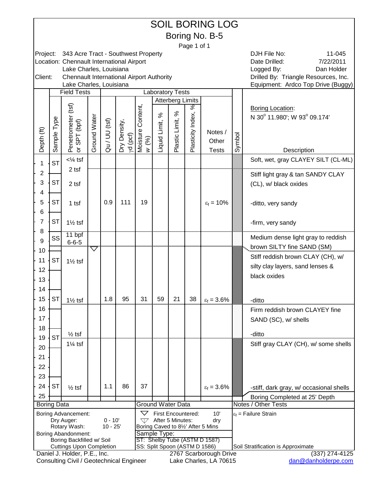|                          |             |                                                                      |              |               |                          |                               |               |                                                    |                   | <b>SOIL BORING LOG</b>             |        |                                                        |
|--------------------------|-------------|----------------------------------------------------------------------|--------------|---------------|--------------------------|-------------------------------|---------------|----------------------------------------------------|-------------------|------------------------------------|--------|--------------------------------------------------------|
|                          |             |                                                                      |              |               |                          |                               |               |                                                    |                   | Boring No. B-5                     |        |                                                        |
|                          |             |                                                                      |              |               |                          |                               |               |                                                    | Page 1 of 1       |                                    |        |                                                        |
| Project:                 |             | 343 Acre Tract - Southwest Property                                  |              |               |                          |                               |               |                                                    |                   |                                    |        | DJH File No:<br>11-045                                 |
|                          |             | Location: Chennault International Airport<br>Lake Charles, Louisiana |              |               |                          |                               |               |                                                    |                   |                                    |        | 7/22/2011<br>Date Drilled:<br>Logged By:<br>Dan Holder |
| Client:                  |             | <b>Chennault International Airport Authority</b>                     |              |               |                          |                               |               |                                                    |                   |                                    |        | Drilled By: Triangle Resources, Inc.                   |
|                          |             | Lake Charles, Louisiana                                              |              |               |                          |                               |               |                                                    |                   |                                    |        | Equipment: Ardco Top Drive (Buggy)                     |
|                          |             | <b>Field Tests</b>                                                   |              |               |                          |                               |               | <b>Laboratory Tests</b><br><b>Atterberg Limits</b> |                   |                                    |        |                                                        |
|                          |             |                                                                      |              |               |                          |                               |               |                                                    | ℅                 |                                    |        | <b>Boring Location:</b>                                |
|                          |             |                                                                      |              |               |                          |                               | $\%$          | ಸಿ                                                 |                   |                                    |        | N 30° 11.980'; W 93° 09.174'                           |
|                          |             |                                                                      |              |               |                          |                               |               |                                                    |                   |                                    |        |                                                        |
|                          |             |                                                                      |              |               |                          | $(96)$                        |               |                                                    |                   | Notes /<br>Other                   |        |                                                        |
| Depth (ft)               | Sample Type | Penetrometer (tsf)<br>or SPT (bpf)                                   | Ground Water | Qu / UU (tsf) | Dry Density,<br>yd (pcf) | Moisture Content,<br>$\geq$   | Liquid Limit, | Plastic Limit,                                     | Plasticity Index, | <b>Tests</b>                       | Symbol | Description                                            |
|                          |             | $<\frac{1}{4}$ tsf                                                   |              |               |                          |                               |               |                                                    |                   |                                    |        | Soft, wet, gray CLAYEY SILT (CL-ML)                    |
| 1                        | <b>ST</b>   | 2 tsf                                                                |              |               |                          |                               |               |                                                    |                   |                                    |        |                                                        |
| 2<br>3                   | <b>ST</b>   |                                                                      |              |               |                          |                               |               |                                                    |                   |                                    |        | Stiff light gray & tan SANDY CLAY                      |
|                          |             | 2 tsf                                                                |              |               |                          |                               |               |                                                    |                   |                                    |        | (CL), w/ black oxides                                  |
| 4<br>5                   | <b>ST</b>   |                                                                      |              | 0.9           | 111                      | 19                            |               |                                                    |                   | $\varepsilon_f = 10\%$             |        |                                                        |
| 6                        |             | $1$ tsf                                                              |              |               |                          |                               |               |                                                    |                   |                                    |        | -ditto, very sandy                                     |
| 7                        | <b>ST</b>   | $1\frac{1}{2}$ tsf                                                   |              |               |                          |                               |               |                                                    |                   |                                    |        | -firm, very sandy                                      |
| 8                        |             |                                                                      |              |               |                          |                               |               |                                                    |                   |                                    |        |                                                        |
| 9                        | SS          | 11 bpf<br>$6 - 6 - 5$                                                |              |               |                          |                               |               |                                                    |                   |                                    |        | Medium dense light gray to reddish                     |
| 10                       |             |                                                                      | ▽            |               |                          |                               |               |                                                    |                   |                                    |        | brown SILTY fine SAND (SM)                             |
| 11                       | <b>ST</b>   | $1\frac{1}{2}$ tsf                                                   |              |               |                          |                               |               |                                                    |                   |                                    |        | Stiff reddish brown CLAY (CH), w/                      |
| 12                       |             |                                                                      |              |               |                          |                               |               |                                                    |                   |                                    |        | silty clay layers, sand lenses &                       |
| 13                       |             |                                                                      |              |               |                          |                               |               |                                                    |                   |                                    |        | black oxides                                           |
| 14                       |             |                                                                      |              |               |                          |                               |               |                                                    |                   |                                    |        |                                                        |
| 15                       | <b>ST</b>   | $1\frac{1}{2}$ tsf                                                   |              | 1.8           | 95                       | 31                            | 59            | 21                                                 | 38                | $\epsilon_f = 3.6\%$               |        | -ditto                                                 |
| 16                       |             |                                                                      |              |               |                          |                               |               |                                                    |                   |                                    |        | Firm reddish brown CLAYEY fine                         |
| 17                       |             |                                                                      |              |               |                          |                               |               |                                                    |                   |                                    |        | SAND (SC), w/ shells                                   |
| 18                       |             |                                                                      |              |               |                          |                               |               |                                                    |                   |                                    |        | -ditto                                                 |
| 19                       | ST          | $\frac{1}{2}$ tsf<br>$1\frac{1}{4}$ tsf                              |              |               |                          |                               |               |                                                    |                   |                                    |        | Stiff gray CLAY (CH), w/ some shells                   |
| 20                       |             |                                                                      |              |               |                          |                               |               |                                                    |                   |                                    |        |                                                        |
| 21                       |             |                                                                      |              |               |                          |                               |               |                                                    |                   |                                    |        |                                                        |
| 22                       |             |                                                                      |              |               |                          |                               |               |                                                    |                   |                                    |        |                                                        |
| 23                       |             |                                                                      |              |               |                          |                               |               |                                                    |                   |                                    |        |                                                        |
| 24                       | <b>ST</b>   | $\frac{1}{2}$ tsf                                                    |              | 1.1           | 86                       | 37                            |               |                                                    |                   | $\varepsilon_f = 3.6\%$            |        | -stiff, dark gray, w/ occasional shells                |
| 25<br><b>Boring Data</b> |             |                                                                      |              |               |                          | <b>Ground Water Data</b>      |               |                                                    |                   |                                    |        | Boring Completed at 25' Depth<br>Notes / Other Tests   |
|                          |             | Boring Advancement:                                                  |              |               |                          | $\bigtriangledown$            |               | First Encountered:                                 |                   | 10'                                |        | $\varepsilon_f$ = Failure Strain                       |
|                          |             | Dry Auger:                                                           |              | $0 - 10'$     |                          | W                             |               | After 5 Minutes:                                   |                   | dry                                |        |                                                        |
|                          |             | Rotary Wash:<br><b>Boring Abandonment:</b>                           |              | $10 - 25'$    |                          | Sample Type:                  |               |                                                    |                   | Boring Caved to 81/2' After 5 Mins |        |                                                        |
|                          |             | Boring Backfilled w/ Soil                                            |              |               |                          |                               |               |                                                    |                   | ST: Shelby Tube (ASTM D 1587)      |        |                                                        |
|                          |             | <b>Cuttings Upon Completion</b><br>Daniel J. Holder, P.E., Inc.      |              |               |                          | SS: Split Spoon (ASTM D 1586) |               |                                                    |                   | 2767 Scarborough Drive             |        | Soil Stratification is Approximate<br>$(337)$ 274-4125 |
|                          |             | Consulting Civil / Geotechnical Engineer                             |              |               |                          |                               |               |                                                    |                   | Lake Charles, LA 70615             |        | dan@danholderpe.com                                    |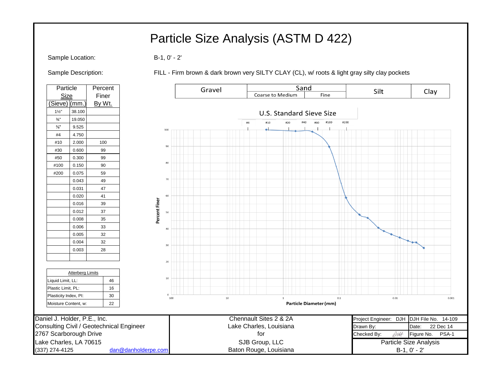# Particle Size Analysis (ASTM D 422)

Sample Location: B-1, 0' - 2'

Sample Description: FILL - Firm brown & dark brown very SILTY CLAY (CL), w/ roots & light gray silty clay pockets

| Particle<br>Percent   |                              |                                          |                     | Gravel |                          | Sand                          | Silt                                      |                        |  |
|-----------------------|------------------------------|------------------------------------------|---------------------|--------|--------------------------|-------------------------------|-------------------------------------------|------------------------|--|
| Size                  |                              | Finer                                    |                     |        | <b>Coarse to Medium</b>  | Fine                          |                                           | Clay                   |  |
| (Sieve) (mm.          | By Wt.                       |                                          |                     |        |                          |                               |                                           |                        |  |
| $1\frac{1}{2}$        | 38.100                       |                                          |                     |        | U.S. Standard Sieve Size |                               |                                           |                        |  |
| $\frac{3}{4}$ "       | 19.050                       |                                          |                     |        |                          | #100<br>#200<br>#40<br>#60    |                                           |                        |  |
| $\frac{3}{8}$ "       | 9.525                        |                                          | 100                 |        | #4<br>#10<br>#20         |                               |                                           |                        |  |
| #4                    | 4.750                        |                                          |                     |        |                          |                               |                                           |                        |  |
| #10                   | 2.000                        | 100                                      |                     |        |                          |                               |                                           |                        |  |
| #30                   | 99<br>0.600                  |                                          | 90                  |        |                          |                               |                                           |                        |  |
| #50                   | 99<br>0.300                  |                                          |                     |        |                          |                               |                                           |                        |  |
| #100                  | 90<br>0.150                  |                                          | 80                  |        |                          |                               |                                           |                        |  |
| #200                  | 59<br>0.075                  |                                          |                     |        |                          |                               |                                           |                        |  |
|                       | 49<br>0.043                  |                                          | 70                  |        |                          |                               |                                           |                        |  |
|                       | 47<br>0.031                  |                                          |                     |        |                          |                               |                                           |                        |  |
|                       | 41<br>0.020                  |                                          | 60                  |        |                          |                               |                                           |                        |  |
|                       | 39<br>0.016                  |                                          |                     |        |                          |                               |                                           |                        |  |
|                       | 37<br>0.012                  |                                          | Percent Finer<br>50 |        |                          |                               |                                           |                        |  |
|                       | 35<br>0.008                  |                                          |                     |        |                          |                               |                                           |                        |  |
|                       | 33<br>0.006                  |                                          | 40                  |        |                          |                               |                                           |                        |  |
|                       | 32<br>0.005                  |                                          |                     |        |                          |                               |                                           |                        |  |
|                       | 32<br>0.004                  |                                          | 30                  |        |                          |                               |                                           |                        |  |
|                       | 0.003                        | 28                                       |                     |        |                          |                               |                                           |                        |  |
|                       |                              |                                          | 20                  |        |                          |                               |                                           |                        |  |
|                       |                              |                                          |                     |        |                          |                               |                                           |                        |  |
|                       | <b>Atterberg Limits</b>      |                                          |                     |        |                          |                               |                                           |                        |  |
| Liquid Limit, LL:     |                              | 46                                       | 10                  |        |                          |                               |                                           |                        |  |
| Plastic Limit, PL:    |                              | 16                                       |                     |        |                          |                               |                                           |                        |  |
| Plasticity Index, PI: |                              | 30                                       | $\Omega$<br>100     | $10\,$ | $\overline{1}$           | 0.1                           | 0.01                                      | 0.001                  |  |
| Moisture Content, w:  |                              | 22                                       |                     |        |                          | <b>Particle Diameter (mm)</b> |                                           |                        |  |
|                       | Daniel J. Holder, P.E., Inc. |                                          |                     |        | Chennault Sites 2 & 2A   |                               | Project Engineer: DJH DJH File No. 14-109 |                        |  |
|                       |                              | Consulting Civil / Geotechnical Engineer |                     |        | Lake Charles, Louisiana  |                               | Drawn By:                                 | Date:<br>22 Dec 14     |  |
|                       | 2767 Scarborough Drive       |                                          |                     |        | for                      |                               | 044<br>Checked By:                        | Figure No.<br>PSA-1    |  |
|                       | Lake Charles, LA 70615       |                                          |                     |        | SJB Group, LLC           |                               |                                           | Particle Size Analysis |  |
| (337) 274-4125        |                              | dan@danholderpe.com                      |                     |        | Baton Rouge, Louisiana   |                               |                                           | $B-1, 0' - 2'$         |  |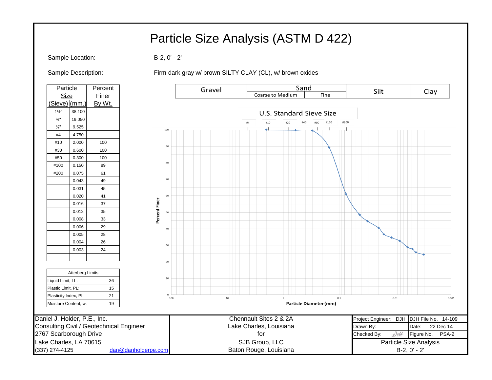# Particle Size Analysis (ASTM D 422)

Sample Location: B-2, 0' - 2'

Sample Description: Firm dark gray w/ brown SILTY CLAY (CL), w/ brown oxides